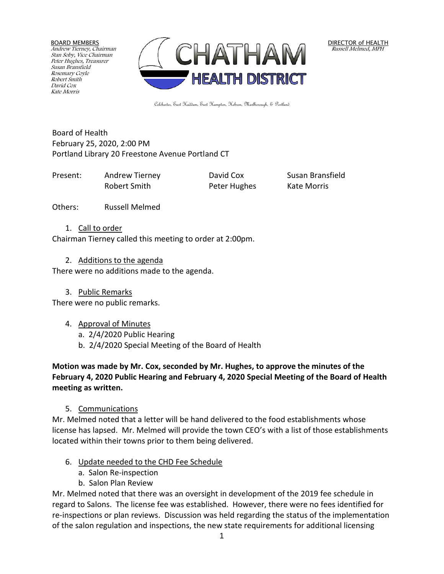BOARD MEMBERS Andrew Tierney, Chairman Stan Soby, Vice Chairman Peter Hughes, Treasurer Susan Bransfield Rosemary Coyle Robert Smith David Cox Kate Morris



DIRECTOR of HEALTH Russell Melmed, MPH

Colchester, East Haddam, East Hampton, Hebron, Marlborough, & Portland

Board of Health February 25, 2020, 2:00 PM Portland Library 20 Freestone Avenue Portland CT

Present: Andrew Tierney David Cox Susan Bransfield Robert Smith **Peter Hughes** Kate Morris

Others: Russell Melmed

1. Call to order

Chairman Tierney called this meeting to order at 2:00pm.

# 2. Additions to the agenda

There were no additions made to the agenda.

3. Public Remarks

There were no public remarks.

# 4. Approval of Minutes

- a. 2/4/2020 Public Hearing
- b. 2/4/2020 Special Meeting of the Board of Health

**Motion was made by Mr. Cox, seconded by Mr. Hughes, to approve the minutes of the February 4, 2020 Public Hearing and February 4, 2020 Special Meeting of the Board of Health meeting as written.**

5. Communications

Mr. Melmed noted that a letter will be hand delivered to the food establishments whose license has lapsed. Mr. Melmed will provide the town CEO's with a list of those establishments located within their towns prior to them being delivered.

- 6. Update needed to the CHD Fee Schedule
	- a. Salon Re-inspection
	- b. Salon Plan Review

Mr. Melmed noted that there was an oversight in development of the 2019 fee schedule in regard to Salons. The license fee was established. However, there were no fees identified for re-inspections or plan reviews. Discussion was held regarding the status of the implementation of the salon regulation and inspections, the new state requirements for additional licensing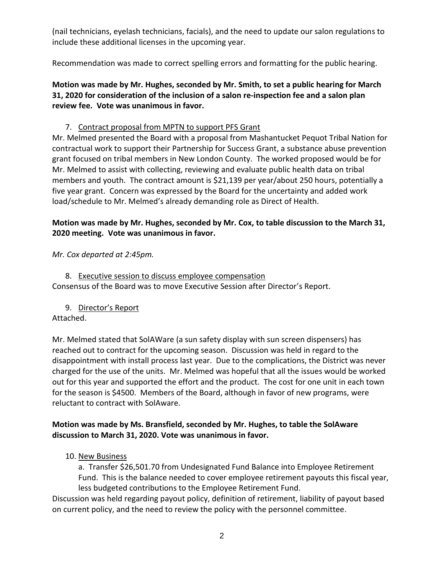(nail technicians, eyelash technicians, facials), and the need to update our salon regulations to include these additional licenses in the upcoming year.

Recommendation was made to correct spelling errors and formatting for the public hearing.

**Motion was made by Mr. Hughes, seconded by Mr. Smith, to set a public hearing for March 31, 2020 for consideration of the inclusion of a salon re-inspection fee and a salon plan review fee. Vote was unanimous in favor.**

### 7. Contract proposal from MPTN to support PFS Grant

Mr. Melmed presented the Board with a proposal from Mashantucket Pequot Tribal Nation for contractual work to support their Partnership for Success Grant, a substance abuse prevention grant focused on tribal members in New London County. The worked proposed would be for Mr. Melmed to assist with collecting, reviewing and evaluate public health data on tribal members and youth. The contract amount is \$21,139 per year/about 250 hours, potentially a five year grant. Concern was expressed by the Board for the uncertainty and added work load/schedule to Mr. Melmed's already demanding role as Direct of Health.

# **Motion was made by Mr. Hughes, seconded by Mr. Cox, to table discussion to the March 31, 2020 meeting. Vote was unanimous in favor.**

*Mr. Cox departed at 2:45pm.*

8. Executive session to discuss employee compensation Consensus of the Board was to move Executive Session after Director's Report.

9. Director's Report

### Attached.

Mr. Melmed stated that SolAWare (a sun safety display with sun screen dispensers) has reached out to contract for the upcoming season. Discussion was held in regard to the disappointment with install process last year. Due to the complications, the District was never charged for the use of the units. Mr. Melmed was hopeful that all the issues would be worked out for this year and supported the effort and the product. The cost for one unit in each town for the season is \$4500. Members of the Board, although in favor of new programs, were reluctant to contract with SolAware.

### **Motion was made by Ms. Bransfield, seconded by Mr. Hughes, to table the SolAware discussion to March 31, 2020. Vote was unanimous in favor.**

10. New Business

a. Transfer \$26,501.70 from Undesignated Fund Balance into Employee Retirement Fund. This is the balance needed to cover employee retirement payouts this fiscal year, less budgeted contributions to the Employee Retirement Fund.

Discussion was held regarding payout policy, definition of retirement, liability of payout based on current policy, and the need to review the policy with the personnel committee.